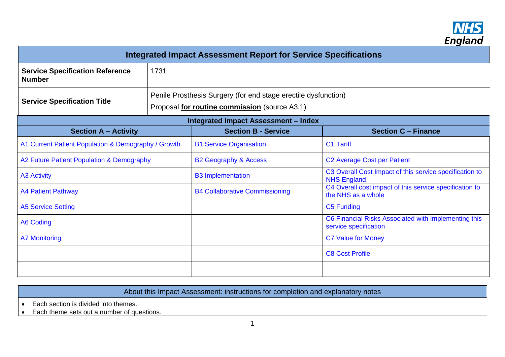

| <b>Integrated Impact Assessment Report for Service Specifications</b> |                                                                                                                 |                                             |                                                                               |  |
|-----------------------------------------------------------------------|-----------------------------------------------------------------------------------------------------------------|---------------------------------------------|-------------------------------------------------------------------------------|--|
| <b>Service Specification Reference</b><br><b>Number</b>               | 1731                                                                                                            |                                             |                                                                               |  |
| <b>Service Specification Title</b>                                    | Penile Prosthesis Surgery (for end stage erectile dysfunction)<br>Proposal for routine commission (source A3.1) |                                             |                                                                               |  |
|                                                                       |                                                                                                                 | <b>Integrated Impact Assessment - Index</b> |                                                                               |  |
| <b>Section A - Activity</b>                                           |                                                                                                                 | <b>Section B - Service</b>                  | <b>Section C - Finance</b>                                                    |  |
| A1 Current Patient Population & Demography / Growth                   |                                                                                                                 | <b>B1 Service Organisation</b>              | C1 Tariff                                                                     |  |
| A2 Future Patient Population & Demography                             |                                                                                                                 | <b>B2 Geography &amp; Access</b>            | <b>C2 Average Cost per Patient</b>                                            |  |
| <b>A3 Activity</b>                                                    |                                                                                                                 | <b>B3 Implementation</b>                    | C3 Overall Cost Impact of this service specification to<br><b>NHS England</b> |  |
| <b>A4 Patient Pathway</b>                                             |                                                                                                                 | <b>B4 Collaborative Commissioning</b>       | C4 Overall cost impact of this service specification to<br>the NHS as a whole |  |
| <b>A5 Service Setting</b>                                             |                                                                                                                 |                                             | C5 Funding                                                                    |  |
| <b>A6 Coding</b>                                                      |                                                                                                                 |                                             | C6 Financial Risks Associated with Implementing this<br>service specification |  |
| <b>A7 Monitoring</b>                                                  |                                                                                                                 |                                             | <b>C7 Value for Money</b>                                                     |  |
|                                                                       |                                                                                                                 |                                             | <b>C8 Cost Profile</b>                                                        |  |
|                                                                       |                                                                                                                 |                                             |                                                                               |  |

About this Impact Assessment: instructions for completion and explanatory notes

• Each section is divided into themes.

• Each theme sets out a number of questions.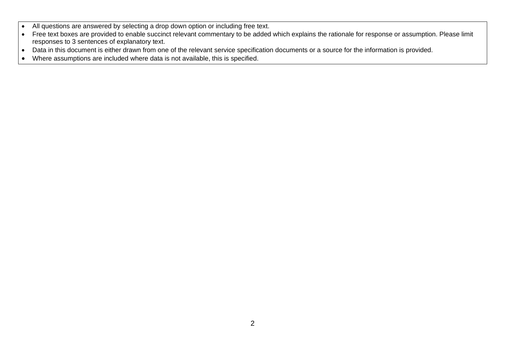- All questions are answered by selecting a drop down option or including free text.
- Free text boxes are provided to enable succinct relevant commentary to be added which explains the rationale for response or assumption. Please limit responses to 3 sentences of explanatory text.
- Data in this document is either drawn from one of the relevant service specification documents or a source for the information is provided.
- Where assumptions are included where data is not available, this is specified.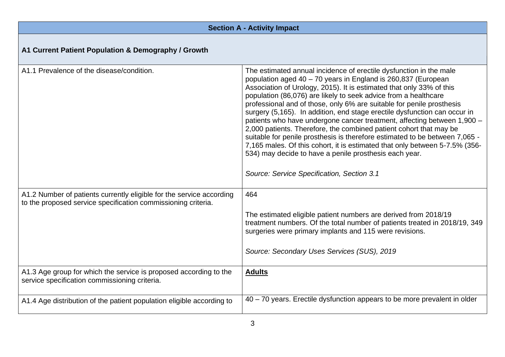<span id="page-2-0"></span>

| <b>Section A - Activity Impact</b>                                                                                                    |                                                                                                                                                                                                                                                                                                                                                                                                                                                                                                                                                                                                                                                                                                                                                                                                                                                             |  |
|---------------------------------------------------------------------------------------------------------------------------------------|-------------------------------------------------------------------------------------------------------------------------------------------------------------------------------------------------------------------------------------------------------------------------------------------------------------------------------------------------------------------------------------------------------------------------------------------------------------------------------------------------------------------------------------------------------------------------------------------------------------------------------------------------------------------------------------------------------------------------------------------------------------------------------------------------------------------------------------------------------------|--|
| A1 Current Patient Population & Demography / Growth                                                                                   |                                                                                                                                                                                                                                                                                                                                                                                                                                                                                                                                                                                                                                                                                                                                                                                                                                                             |  |
| A1.1 Prevalence of the disease/condition.                                                                                             | The estimated annual incidence of erectile dysfunction in the male<br>population aged 40 - 70 years in England is 260,837 (European<br>Association of Urology, 2015). It is estimated that only 33% of this<br>population (86,076) are likely to seek advice from a healthcare<br>professional and of those, only 6% are suitable for penile prosthesis<br>surgery (5,165). In addition, end stage erectile dysfunction can occur in<br>patients who have undergone cancer treatment, affecting between 1,900 -<br>2,000 patients. Therefore, the combined patient cohort that may be<br>suitable for penile prosthesis is therefore estimated to be between 7,065 -<br>7,165 males. Of this cohort, it is estimated that only between 5-7.5% (356-<br>534) may decide to have a penile prosthesis each year.<br>Source: Service Specification, Section 3.1 |  |
| A1.2 Number of patients currently eligible for the service according<br>to the proposed service specification commissioning criteria. | 464                                                                                                                                                                                                                                                                                                                                                                                                                                                                                                                                                                                                                                                                                                                                                                                                                                                         |  |
|                                                                                                                                       | The estimated eligible patient numbers are derived from 2018/19<br>treatment numbers. Of the total number of patients treated in 2018/19, 349<br>surgeries were primary implants and 115 were revisions.                                                                                                                                                                                                                                                                                                                                                                                                                                                                                                                                                                                                                                                    |  |
|                                                                                                                                       | Source: Secondary Uses Services (SUS), 2019                                                                                                                                                                                                                                                                                                                                                                                                                                                                                                                                                                                                                                                                                                                                                                                                                 |  |
| A1.3 Age group for which the service is proposed according to the<br>service specification commissioning criteria.                    | <b>Adults</b>                                                                                                                                                                                                                                                                                                                                                                                                                                                                                                                                                                                                                                                                                                                                                                                                                                               |  |
| A1.4 Age distribution of the patient population eligible according to                                                                 | 40 – 70 years. Erectile dysfunction appears to be more prevalent in older                                                                                                                                                                                                                                                                                                                                                                                                                                                                                                                                                                                                                                                                                                                                                                                   |  |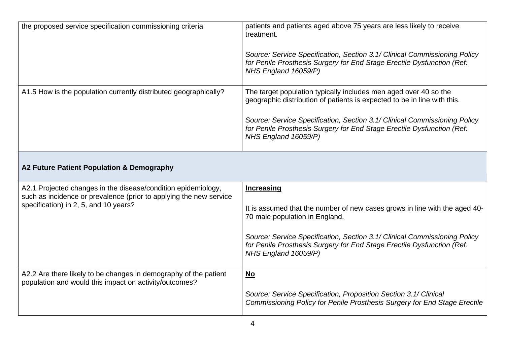<span id="page-3-0"></span>

| the proposed service specification commissioning criteria                                                                                                                    | patients and patients aged above 75 years are less likely to receive<br>treatment.<br>Source: Service Specification, Section 3.1/ Clinical Commissioning Policy<br>for Penile Prosthesis Surgery for End Stage Erectile Dysfunction (Ref:<br>NHS England 16059/P)                                                           |
|------------------------------------------------------------------------------------------------------------------------------------------------------------------------------|-----------------------------------------------------------------------------------------------------------------------------------------------------------------------------------------------------------------------------------------------------------------------------------------------------------------------------|
| A1.5 How is the population currently distributed geographically?                                                                                                             | The target population typically includes men aged over 40 so the<br>geographic distribution of patients is expected to be in line with this.<br>Source: Service Specification, Section 3.1/ Clinical Commissioning Policy<br>for Penile Prosthesis Surgery for End Stage Erectile Dysfunction (Ref:<br>NHS England 16059/P) |
| A2 Future Patient Population & Demography                                                                                                                                    |                                                                                                                                                                                                                                                                                                                             |
| A2.1 Projected changes in the disease/condition epidemiology,<br>such as incidence or prevalence (prior to applying the new service<br>specification) in 2, 5, and 10 years? | <b>Increasing</b><br>It is assumed that the number of new cases grows in line with the aged 40-<br>70 male population in England.<br>Source: Service Specification, Section 3.1/ Clinical Commissioning Policy<br>for Penile Prosthesis Surgery for End Stage Erectile Dysfunction (Ref:<br>NHS England 16059/P)            |
| A2.2 Are there likely to be changes in demography of the patient<br>population and would this impact on activity/outcomes?                                                   | No<br>Source: Service Specification, Proposition Section 3.1/ Clinical<br>Commissioning Policy for Penile Prosthesis Surgery for End Stage Erectile                                                                                                                                                                         |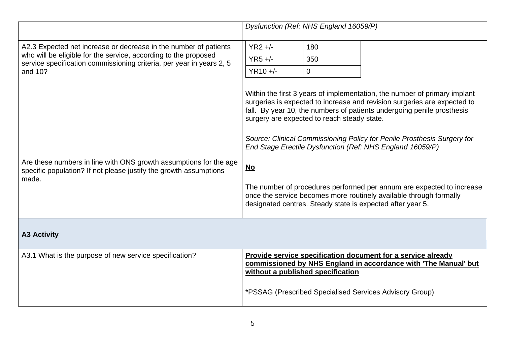<span id="page-4-0"></span>

|                                                                                                                                                 |            | Dysfunction (Ref: NHS England 16059/P)      |                                                                                                                                                                                                                                                                                                                                                                                                                                                                                                                                                                                      |
|-------------------------------------------------------------------------------------------------------------------------------------------------|------------|---------------------------------------------|--------------------------------------------------------------------------------------------------------------------------------------------------------------------------------------------------------------------------------------------------------------------------------------------------------------------------------------------------------------------------------------------------------------------------------------------------------------------------------------------------------------------------------------------------------------------------------------|
| A2.3 Expected net increase or decrease in the number of patients                                                                                | $YR2 +/-$  | 180                                         |                                                                                                                                                                                                                                                                                                                                                                                                                                                                                                                                                                                      |
| who will be eligible for the service, according to the proposed<br>service specification commissioning criteria, per year in years 2, 5         | $YR5 +/-$  | 350                                         |                                                                                                                                                                                                                                                                                                                                                                                                                                                                                                                                                                                      |
| and 10?                                                                                                                                         | $YR10 +/-$ | $\overline{0}$                              |                                                                                                                                                                                                                                                                                                                                                                                                                                                                                                                                                                                      |
| Are these numbers in line with ONS growth assumptions for the age<br>specific population? If not please justify the growth assumptions<br>made. | <u>No</u>  | surgery are expected to reach steady state. | Within the first 3 years of implementation, the number of primary implant<br>surgeries is expected to increase and revision surgeries are expected to<br>fall. By year 10, the numbers of patients undergoing penile prosthesis<br>Source: Clinical Commissioning Policy for Penile Prosthesis Surgery for<br>End Stage Erectile Dysfunction (Ref: NHS England 16059/P)<br>The number of procedures performed per annum are expected to increase<br>once the service becomes more routinely available through formally<br>designated centres. Steady state is expected after year 5. |
| <b>A3 Activity</b>                                                                                                                              |            |                                             |                                                                                                                                                                                                                                                                                                                                                                                                                                                                                                                                                                                      |
| A3.1 What is the purpose of new service specification?                                                                                          |            | without a published specification           | <b>Provide service specification document for a service already</b><br>commissioned by NHS England in accordance with 'The Manual' but                                                                                                                                                                                                                                                                                                                                                                                                                                               |
|                                                                                                                                                 |            |                                             | *PSSAG (Prescribed Specialised Services Advisory Group)                                                                                                                                                                                                                                                                                                                                                                                                                                                                                                                              |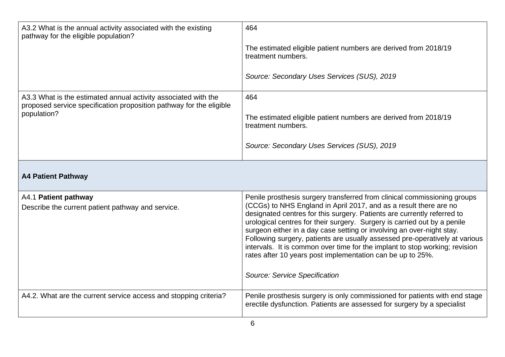<span id="page-5-0"></span>

| A3.2 What is the annual activity associated with the existing<br>pathway for the eligible population?                                 | 464                                                                                                                                                                                                                                                                                                                                                                                                                                                                                                                           |
|---------------------------------------------------------------------------------------------------------------------------------------|-------------------------------------------------------------------------------------------------------------------------------------------------------------------------------------------------------------------------------------------------------------------------------------------------------------------------------------------------------------------------------------------------------------------------------------------------------------------------------------------------------------------------------|
|                                                                                                                                       | The estimated eligible patient numbers are derived from 2018/19<br>treatment numbers.                                                                                                                                                                                                                                                                                                                                                                                                                                         |
|                                                                                                                                       | Source: Secondary Uses Services (SUS), 2019                                                                                                                                                                                                                                                                                                                                                                                                                                                                                   |
| A3.3 What is the estimated annual activity associated with the<br>proposed service specification proposition pathway for the eligible | 464                                                                                                                                                                                                                                                                                                                                                                                                                                                                                                                           |
| population?                                                                                                                           | The estimated eligible patient numbers are derived from 2018/19<br>treatment numbers.                                                                                                                                                                                                                                                                                                                                                                                                                                         |
|                                                                                                                                       | Source: Secondary Uses Services (SUS), 2019                                                                                                                                                                                                                                                                                                                                                                                                                                                                                   |
| <b>A4 Patient Pathway</b>                                                                                                             |                                                                                                                                                                                                                                                                                                                                                                                                                                                                                                                               |
| A4.1 Patient pathway                                                                                                                  | Penile prosthesis surgery transferred from clinical commissioning groups                                                                                                                                                                                                                                                                                                                                                                                                                                                      |
| Describe the current patient pathway and service.                                                                                     | (CCGs) to NHS England in April 2017, and as a result there are no<br>designated centres for this surgery. Patients are currently referred to<br>urological centres for their surgery. Surgery is carried out by a penile<br>surgeon either in a day case setting or involving an over-night stay.<br>Following surgery, patients are usually assessed pre-operatively at various<br>intervals. It is common over time for the implant to stop working; revision<br>rates after 10 years post implementation can be up to 25%. |
|                                                                                                                                       | Source: Service Specification                                                                                                                                                                                                                                                                                                                                                                                                                                                                                                 |
| A4.2. What are the current service access and stopping criteria?                                                                      | Penile prosthesis surgery is only commissioned for patients with end stage<br>erectile dysfunction. Patients are assessed for surgery by a specialist                                                                                                                                                                                                                                                                                                                                                                         |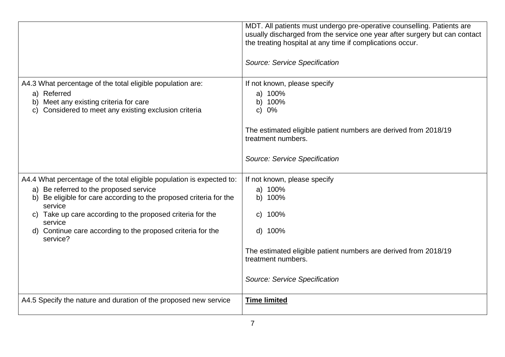|                                                                                                                                                                                                     | MDT. All patients must undergo pre-operative counselling. Patients are<br>usually discharged from the service one year after surgery but can contact<br>the treating hospital at any time if complications occur. |
|-----------------------------------------------------------------------------------------------------------------------------------------------------------------------------------------------------|-------------------------------------------------------------------------------------------------------------------------------------------------------------------------------------------------------------------|
|                                                                                                                                                                                                     | Source: Service Specification                                                                                                                                                                                     |
| A4.3 What percentage of the total eligible population are:<br>a) Referred<br>Meet any existing criteria for care<br>b)<br>Considered to meet any existing exclusion criteria<br>C)                  | If not known, please specify<br>a) 100%<br>b) 100%<br>c) $0\%$                                                                                                                                                    |
|                                                                                                                                                                                                     | The estimated eligible patient numbers are derived from 2018/19<br>treatment numbers.                                                                                                                             |
|                                                                                                                                                                                                     | Source: Service Specification                                                                                                                                                                                     |
| A4.4 What percentage of the total eligible population is expected to:<br>a) Be referred to the proposed service<br>Be eligible for care according to the proposed criteria for the<br>b)<br>service | If not known, please specify<br>a) 100%<br>b) 100%                                                                                                                                                                |
| c) Take up care according to the proposed criteria for the<br>service                                                                                                                               | 100%<br>$\mathsf{C}$                                                                                                                                                                                              |
| d) Continue care according to the proposed criteria for the<br>service?                                                                                                                             | d) 100%                                                                                                                                                                                                           |
|                                                                                                                                                                                                     | The estimated eligible patient numbers are derived from 2018/19<br>treatment numbers.                                                                                                                             |
|                                                                                                                                                                                                     | Source: Service Specification                                                                                                                                                                                     |
| A4.5 Specify the nature and duration of the proposed new service                                                                                                                                    | <b>Time limited</b>                                                                                                                                                                                               |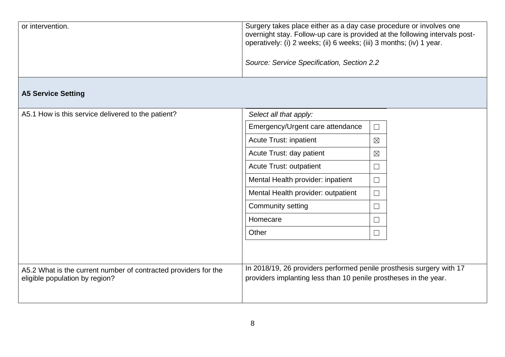| or intervention. | Surgery takes place either as a day case procedure or involves one<br>overnight stay. Follow-up care is provided at the following intervals post-<br>operatively: (i) 2 weeks; (ii) 6 weeks; (iii) 3 months; (iv) 1 year. |
|------------------|---------------------------------------------------------------------------------------------------------------------------------------------------------------------------------------------------------------------------|
|                  | Source: Service Specification, Section 2.2                                                                                                                                                                                |

## <span id="page-7-0"></span>**A5 Service Setting**

| A5.1 How is this service delivered to the patient?                                                | Select all that apply:                                                                                                                   |             |  |
|---------------------------------------------------------------------------------------------------|------------------------------------------------------------------------------------------------------------------------------------------|-------------|--|
|                                                                                                   | Emergency/Urgent care attendance                                                                                                         | $\Box$      |  |
|                                                                                                   | <b>Acute Trust: inpatient</b>                                                                                                            | $\boxtimes$ |  |
|                                                                                                   | Acute Trust: day patient                                                                                                                 | $\boxtimes$ |  |
|                                                                                                   | Acute Trust: outpatient                                                                                                                  | $\Box$      |  |
|                                                                                                   | Mental Health provider: inpatient                                                                                                        | $\Box$      |  |
|                                                                                                   | Mental Health provider: outpatient                                                                                                       | $\Box$      |  |
|                                                                                                   | Community setting                                                                                                                        | $\Box$      |  |
|                                                                                                   | Homecare                                                                                                                                 | ▔▏          |  |
|                                                                                                   | Other                                                                                                                                    | $\Box$      |  |
| A5.2 What is the current number of contracted providers for the<br>eligible population by region? | In 2018/19, 26 providers performed penile prosthesis surgery with 17<br>providers implanting less than 10 penile prostheses in the year. |             |  |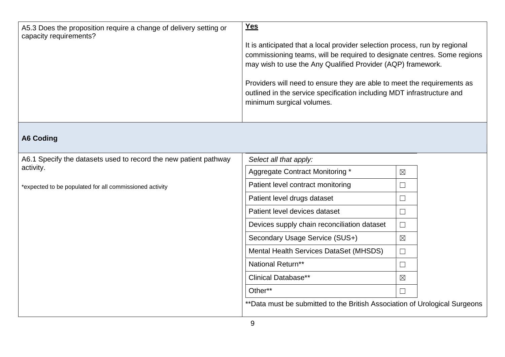| A5.3 Does the proposition require a change of delivery setting or<br>capacity requirements? | <b>Yes</b><br>It is anticipated that a local provider selection process, run by regional<br>commissioning teams, will be required to designate centres. Some regions<br>may wish to use the Any Qualified Provider (AQP) framework.<br>Providers will need to ensure they are able to meet the requirements as<br>outlined in the service specification including MDT infrastructure and<br>minimum surgical volumes. |
|---------------------------------------------------------------------------------------------|-----------------------------------------------------------------------------------------------------------------------------------------------------------------------------------------------------------------------------------------------------------------------------------------------------------------------------------------------------------------------------------------------------------------------|
|---------------------------------------------------------------------------------------------|-----------------------------------------------------------------------------------------------------------------------------------------------------------------------------------------------------------------------------------------------------------------------------------------------------------------------------------------------------------------------------------------------------------------------|

## <span id="page-8-0"></span>**A6 Coding**

| A6.1 Specify the datasets used to record the new patient pathway<br>activity. | Select all that apply:                                                     |                          |  |
|-------------------------------------------------------------------------------|----------------------------------------------------------------------------|--------------------------|--|
|                                                                               | Aggregate Contract Monitoring *                                            | $\boxtimes$              |  |
| *expected to be populated for all commissioned activity                       | Patient level contract monitoring                                          |                          |  |
|                                                                               | Patient level drugs dataset                                                | $\overline{\phantom{a}}$ |  |
|                                                                               | Patient level devices dataset                                              | $\overline{\phantom{a}}$ |  |
|                                                                               | Devices supply chain reconciliation dataset                                | $\Box$                   |  |
|                                                                               | Secondary Usage Service (SUS+)                                             | $\boxtimes$              |  |
|                                                                               | Mental Health Services DataSet (MHSDS)                                     |                          |  |
|                                                                               | National Return**                                                          | $\overline{\phantom{a}}$ |  |
|                                                                               | <b>Clinical Database**</b>                                                 | $\boxtimes$              |  |
|                                                                               | Other**                                                                    |                          |  |
|                                                                               | **Data must be submitted to the British Association of Urological Surgeons |                          |  |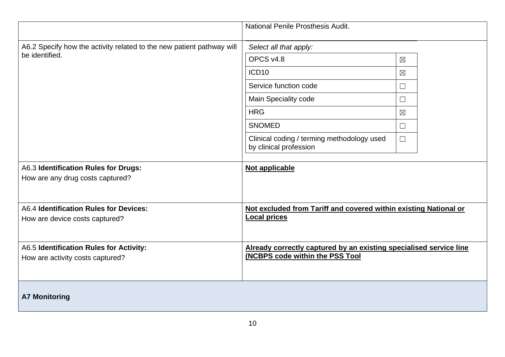<span id="page-9-0"></span>

|                                                                             | National Penile Prosthesis Audit.                                                                     |             |  |
|-----------------------------------------------------------------------------|-------------------------------------------------------------------------------------------------------|-------------|--|
| A6.2 Specify how the activity related to the new patient pathway will       | Select all that apply:                                                                                |             |  |
| be identified.                                                              | OPCS v4.8                                                                                             | $\boxtimes$ |  |
|                                                                             | ICD <sub>10</sub>                                                                                     | $\boxtimes$ |  |
|                                                                             | Service function code                                                                                 | $\Box$      |  |
|                                                                             | Main Speciality code                                                                                  | $\Box$      |  |
|                                                                             | <b>HRG</b>                                                                                            | $\boxtimes$ |  |
|                                                                             | <b>SNOMED</b>                                                                                         | $\Box$      |  |
|                                                                             | Clinical coding / terming methodology used<br>by clinical profession                                  | $\Box$      |  |
| A6.3 Identification Rules for Drugs:<br>How are any drug costs captured?    | Not applicable                                                                                        |             |  |
| A6.4 Identification Rules for Devices:<br>How are device costs captured?    | Not excluded from Tariff and covered within existing National or<br><b>Local prices</b>               |             |  |
| A6.5 Identification Rules for Activity:<br>How are activity costs captured? | Already correctly captured by an existing specialised service line<br>(NCBPS code within the PSS Tool |             |  |
| <b>A7 Monitoring</b>                                                        |                                                                                                       |             |  |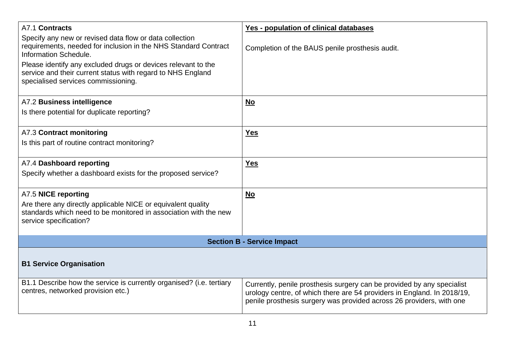<span id="page-10-0"></span>

| A7.1 Contracts                                                                                                                                                      | Yes - population of clinical databases                                                                                                                                                                                    |  |
|---------------------------------------------------------------------------------------------------------------------------------------------------------------------|---------------------------------------------------------------------------------------------------------------------------------------------------------------------------------------------------------------------------|--|
| Specify any new or revised data flow or data collection<br>requirements, needed for inclusion in the NHS Standard Contract<br><b>Information Schedule.</b>          | Completion of the BAUS penile prosthesis audit.                                                                                                                                                                           |  |
| Please identify any excluded drugs or devices relevant to the<br>service and their current status with regard to NHS England<br>specialised services commissioning. |                                                                                                                                                                                                                           |  |
| A7.2 Business intelligence                                                                                                                                          | <u>No</u>                                                                                                                                                                                                                 |  |
| Is there potential for duplicate reporting?                                                                                                                         |                                                                                                                                                                                                                           |  |
| A7.3 Contract monitoring                                                                                                                                            | <b>Yes</b>                                                                                                                                                                                                                |  |
| Is this part of routine contract monitoring?                                                                                                                        |                                                                                                                                                                                                                           |  |
| A7.4 Dashboard reporting                                                                                                                                            | <b>Yes</b>                                                                                                                                                                                                                |  |
| Specify whether a dashboard exists for the proposed service?                                                                                                        |                                                                                                                                                                                                                           |  |
| A7.5 NICE reporting                                                                                                                                                 | $No$                                                                                                                                                                                                                      |  |
| Are there any directly applicable NICE or equivalent quality<br>standards which need to be monitored in association with the new<br>service specification?          |                                                                                                                                                                                                                           |  |
| <b>Section B - Service Impact</b>                                                                                                                                   |                                                                                                                                                                                                                           |  |
| <b>B1 Service Organisation</b>                                                                                                                                      |                                                                                                                                                                                                                           |  |
| B1.1 Describe how the service is currently organised? (i.e. tertiary<br>centres, networked provision etc.)                                                          | Currently, penile prosthesis surgery can be provided by any specialist<br>urology centre, of which there are 54 providers in England. In 2018/19,<br>penile prosthesis surgery was provided across 26 providers, with one |  |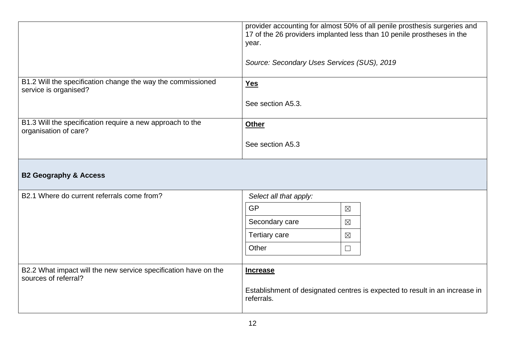<span id="page-11-0"></span>

|                                                                                         | provider accounting for almost 50% of all penile prosthesis surgeries and<br>17 of the 26 providers implanted less than 10 penile prostheses in the<br>year.<br>Source: Secondary Uses Services (SUS), 2019 |  |  |
|-----------------------------------------------------------------------------------------|-------------------------------------------------------------------------------------------------------------------------------------------------------------------------------------------------------------|--|--|
| B1.2 Will the specification change the way the commissioned<br>service is organised?    | <b>Yes</b>                                                                                                                                                                                                  |  |  |
|                                                                                         | See section A5.3.                                                                                                                                                                                           |  |  |
| B1.3 Will the specification require a new approach to the<br>organisation of care?      | <b>Other</b>                                                                                                                                                                                                |  |  |
|                                                                                         | See section A5.3                                                                                                                                                                                            |  |  |
| <b>B2 Geography &amp; Access</b>                                                        |                                                                                                                                                                                                             |  |  |
| B2.1 Where do current referrals come from?                                              | Select all that apply:                                                                                                                                                                                      |  |  |
|                                                                                         | <b>GP</b><br>$\boxtimes$                                                                                                                                                                                    |  |  |
|                                                                                         | Secondary care<br>$\boxtimes$                                                                                                                                                                               |  |  |
|                                                                                         | <b>Tertiary care</b><br>$\boxtimes$                                                                                                                                                                         |  |  |
|                                                                                         | Other<br>$\Box$                                                                                                                                                                                             |  |  |
| B2.2 What impact will the new service specification have on the<br>sources of referral? | <b>Increase</b><br>Establishment of designated centres is expected to result in an increase in<br>referrals.                                                                                                |  |  |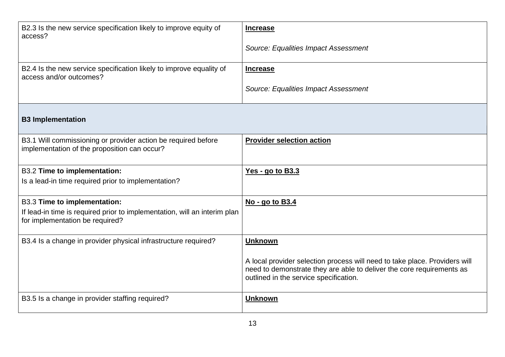<span id="page-12-0"></span>

| B2.3 Is the new service specification likely to improve equity of<br>access?<br>B2.4 Is the new service specification likely to improve equality of | <b>Increase</b><br><b>Source: Equalities Impact Assessment</b><br><b>Increase</b>                                                                                                                               |
|-----------------------------------------------------------------------------------------------------------------------------------------------------|-----------------------------------------------------------------------------------------------------------------------------------------------------------------------------------------------------------------|
| access and/or outcomes?                                                                                                                             | <b>Source: Equalities Impact Assessment</b>                                                                                                                                                                     |
| <b>B3 Implementation</b>                                                                                                                            |                                                                                                                                                                                                                 |
| B3.1 Will commissioning or provider action be required before<br>implementation of the proposition can occur?                                       | <b>Provider selection action</b>                                                                                                                                                                                |
| <b>B3.2 Time to implementation:</b><br>Is a lead-in time required prior to implementation?                                                          | <u>Yes - go to B3.3</u>                                                                                                                                                                                         |
| <b>B3.3 Time to implementation:</b><br>If lead-in time is required prior to implementation, will an interim plan<br>for implementation be required? | No - go to B3.4                                                                                                                                                                                                 |
| B3.4 Is a change in provider physical infrastructure required?                                                                                      | <b>Unknown</b><br>A local provider selection process will need to take place. Providers will<br>need to demonstrate they are able to deliver the core requirements as<br>outlined in the service specification. |
| B3.5 Is a change in provider staffing required?                                                                                                     | <b>Unknown</b>                                                                                                                                                                                                  |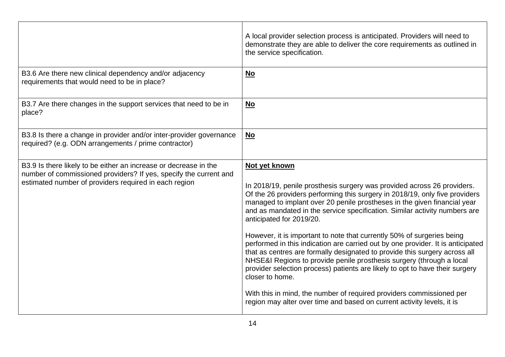|                                                                                                                                                                                                | A local provider selection process is anticipated. Providers will need to<br>demonstrate they are able to deliver the core requirements as outlined in<br>the service specification.                                                                                                                                                                                                                                                                                                                                                                                                                                                                                                                                                                                                                                                                                                                                                  |
|------------------------------------------------------------------------------------------------------------------------------------------------------------------------------------------------|---------------------------------------------------------------------------------------------------------------------------------------------------------------------------------------------------------------------------------------------------------------------------------------------------------------------------------------------------------------------------------------------------------------------------------------------------------------------------------------------------------------------------------------------------------------------------------------------------------------------------------------------------------------------------------------------------------------------------------------------------------------------------------------------------------------------------------------------------------------------------------------------------------------------------------------|
| B3.6 Are there new clinical dependency and/or adjacency<br>requirements that would need to be in place?                                                                                        | No                                                                                                                                                                                                                                                                                                                                                                                                                                                                                                                                                                                                                                                                                                                                                                                                                                                                                                                                    |
| B3.7 Are there changes in the support services that need to be in<br>place?                                                                                                                    | No                                                                                                                                                                                                                                                                                                                                                                                                                                                                                                                                                                                                                                                                                                                                                                                                                                                                                                                                    |
| B3.8 Is there a change in provider and/or inter-provider governance<br>required? (e.g. ODN arrangements / prime contractor)                                                                    | $No$                                                                                                                                                                                                                                                                                                                                                                                                                                                                                                                                                                                                                                                                                                                                                                                                                                                                                                                                  |
| B3.9 Is there likely to be either an increase or decrease in the<br>number of commissioned providers? If yes, specify the current and<br>estimated number of providers required in each region | Not yet known<br>In 2018/19, penile prosthesis surgery was provided across 26 providers.<br>Of the 26 providers performing this surgery in 2018/19, only five providers<br>managed to implant over 20 penile prostheses in the given financial year<br>and as mandated in the service specification. Similar activity numbers are<br>anticipated for 2019/20.<br>However, it is important to note that currently 50% of surgeries being<br>performed in this indication are carried out by one provider. It is anticipated<br>that as centres are formally designated to provide this surgery across all<br>NHSE&I Regions to provide penile prosthesis surgery (through a local<br>provider selection process) patients are likely to opt to have their surgery<br>closer to home.<br>With this in mind, the number of required providers commissioned per<br>region may alter over time and based on current activity levels, it is |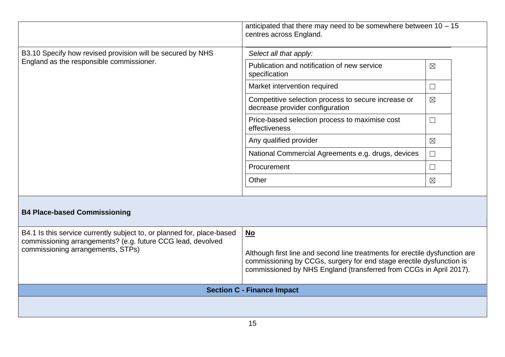|                                                                                                        | anticipated that there may need to be somewhere between $10 - 15$<br>centres across England. |               |
|--------------------------------------------------------------------------------------------------------|----------------------------------------------------------------------------------------------|---------------|
| B3.10 Specify how revised provision will be secured by NHS<br>England as the responsible commissioner. | Select all that apply:                                                                       |               |
|                                                                                                        | Publication and notification of new service<br>specification                                 | $\boxtimes$   |
|                                                                                                        | Market intervention required                                                                 | $\Box$        |
|                                                                                                        | Competitive selection process to secure increase or<br>decrease provider configuration       | $\boxtimes$   |
|                                                                                                        | Price-based selection process to maximise cost<br>effectiveness                              | $\Box$        |
|                                                                                                        | Any qualified provider                                                                       | $\boxtimes$   |
|                                                                                                        | National Commercial Agreements e.g. drugs, devices                                           | $\Box$        |
|                                                                                                        | Procurement                                                                                  | $\mathcal{L}$ |
|                                                                                                        | Other                                                                                        | $\boxtimes$   |

## <span id="page-14-0"></span>**B4 Place-based Commissioning**

| B4.1 Is this service currently subject to, or planned for, place-based<br>commissioning arrangements? (e.g. future CCG lead, devolved<br>commissioning arrangements, STPs) | $\underline{\mathsf{No}}$<br>Although first line and second line treatments for erectile dysfunction are<br>commissioning by CCGs, surgery for end stage erectile dysfunction is<br>commissioned by NHS England (transferred from CCGs in April 2017). |  |
|----------------------------------------------------------------------------------------------------------------------------------------------------------------------------|--------------------------------------------------------------------------------------------------------------------------------------------------------------------------------------------------------------------------------------------------------|--|
| <b>Section C - Finance Impact</b>                                                                                                                                          |                                                                                                                                                                                                                                                        |  |
|                                                                                                                                                                            |                                                                                                                                                                                                                                                        |  |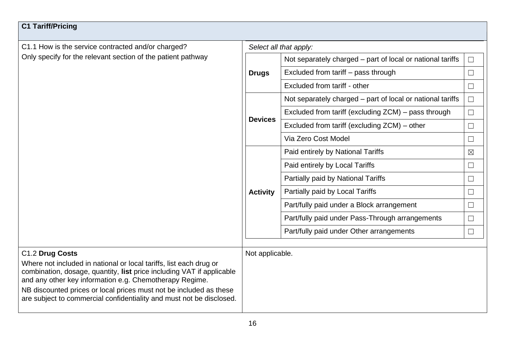<span id="page-15-0"></span>

| <b>C1 Tariff/Pricing</b>                                                                                                                                                                                                                                                                                                                             |                 |                                                            |             |  |  |
|------------------------------------------------------------------------------------------------------------------------------------------------------------------------------------------------------------------------------------------------------------------------------------------------------------------------------------------------------|-----------------|------------------------------------------------------------|-------------|--|--|
| C1.1 How is the service contracted and/or charged?                                                                                                                                                                                                                                                                                                   |                 | Select all that apply:                                     |             |  |  |
| Only specify for the relevant section of the patient pathway                                                                                                                                                                                                                                                                                         |                 | Not separately charged – part of local or national tariffs | ⊔           |  |  |
|                                                                                                                                                                                                                                                                                                                                                      | <b>Drugs</b>    | Excluded from tariff – pass through                        | $\Box$      |  |  |
|                                                                                                                                                                                                                                                                                                                                                      |                 | Excluded from tariff - other                               | $\Box$      |  |  |
|                                                                                                                                                                                                                                                                                                                                                      |                 | Not separately charged – part of local or national tariffs | $\Box$      |  |  |
|                                                                                                                                                                                                                                                                                                                                                      | <b>Devices</b>  | Excluded from tariff (excluding ZCM) – pass through        | $\Box$      |  |  |
|                                                                                                                                                                                                                                                                                                                                                      |                 | Excluded from tariff (excluding ZCM) – other               | $\Box$      |  |  |
|                                                                                                                                                                                                                                                                                                                                                      |                 | Via Zero Cost Model                                        | $\Box$      |  |  |
|                                                                                                                                                                                                                                                                                                                                                      | <b>Activity</b> | Paid entirely by National Tariffs                          | $\boxtimes$ |  |  |
|                                                                                                                                                                                                                                                                                                                                                      |                 | Paid entirely by Local Tariffs                             | $\Box$      |  |  |
|                                                                                                                                                                                                                                                                                                                                                      |                 | Partially paid by National Tariffs                         | $\Box$      |  |  |
|                                                                                                                                                                                                                                                                                                                                                      |                 | Partially paid by Local Tariffs                            | $\Box$      |  |  |
|                                                                                                                                                                                                                                                                                                                                                      |                 | Part/fully paid under a Block arrangement                  | $\Box$      |  |  |
|                                                                                                                                                                                                                                                                                                                                                      |                 | Part/fully paid under Pass-Through arrangements            | $\Box$      |  |  |
|                                                                                                                                                                                                                                                                                                                                                      |                 | Part/fully paid under Other arrangements                   | $\Box$      |  |  |
| C1.2 Drug Costs                                                                                                                                                                                                                                                                                                                                      | Not applicable. |                                                            |             |  |  |
| Where not included in national or local tariffs, list each drug or<br>combination, dosage, quantity, list price including VAT if applicable<br>and any other key information e.g. Chemotherapy Regime.<br>NB discounted prices or local prices must not be included as these<br>are subject to commercial confidentiality and must not be disclosed. |                 |                                                            |             |  |  |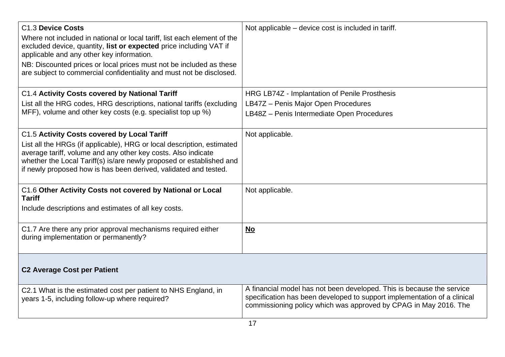<span id="page-16-0"></span>

| C1.3 Device Costs<br>Where not included in national or local tariff, list each element of the<br>excluded device, quantity, list or expected price including VAT if<br>applicable and any other key information.<br>NB: Discounted prices or local prices must not be included as these<br>are subject to commercial confidentiality and must not be disclosed. | Not applicable – device cost is included in tariff.                                                                                                                                                                   |  |
|-----------------------------------------------------------------------------------------------------------------------------------------------------------------------------------------------------------------------------------------------------------------------------------------------------------------------------------------------------------------|-----------------------------------------------------------------------------------------------------------------------------------------------------------------------------------------------------------------------|--|
| C1.4 Activity Costs covered by National Tariff                                                                                                                                                                                                                                                                                                                  | HRG LB74Z - Implantation of Penile Prosthesis                                                                                                                                                                         |  |
| List all the HRG codes, HRG descriptions, national tariffs (excluding<br>MFF), volume and other key costs (e.g. specialist top up %)                                                                                                                                                                                                                            | LB47Z - Penis Major Open Procedures                                                                                                                                                                                   |  |
|                                                                                                                                                                                                                                                                                                                                                                 | LB48Z - Penis Intermediate Open Procedures                                                                                                                                                                            |  |
| C1.5 Activity Costs covered by Local Tariff                                                                                                                                                                                                                                                                                                                     | Not applicable.                                                                                                                                                                                                       |  |
| List all the HRGs (if applicable), HRG or local description, estimated<br>average tariff, volume and any other key costs. Also indicate<br>whether the Local Tariff(s) is/are newly proposed or established and<br>if newly proposed how is has been derived, validated and tested.                                                                             |                                                                                                                                                                                                                       |  |
| C1.6 Other Activity Costs not covered by National or Local<br><b>Tariff</b>                                                                                                                                                                                                                                                                                     | Not applicable.                                                                                                                                                                                                       |  |
| Include descriptions and estimates of all key costs.                                                                                                                                                                                                                                                                                                            |                                                                                                                                                                                                                       |  |
| C1.7 Are there any prior approval mechanisms required either<br>during implementation or permanently?                                                                                                                                                                                                                                                           | <u>No</u>                                                                                                                                                                                                             |  |
| <b>C2 Average Cost per Patient</b>                                                                                                                                                                                                                                                                                                                              |                                                                                                                                                                                                                       |  |
| C2.1 What is the estimated cost per patient to NHS England, in<br>years 1-5, including follow-up where required?                                                                                                                                                                                                                                                | A financial model has not been developed. This is because the service<br>specification has been developed to support implementation of a clinical<br>commissioning policy which was approved by CPAG in May 2016. The |  |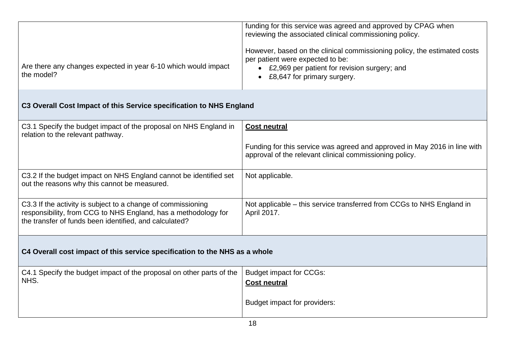|                                                                              | funding for this service was agreed and approved by CPAG when<br>reviewing the associated clinical commissioning policy.                                                                      |
|------------------------------------------------------------------------------|-----------------------------------------------------------------------------------------------------------------------------------------------------------------------------------------------|
| Are there any changes expected in year 6-10 which would impact<br>the model? | However, based on the clinical commissioning policy, the estimated costs<br>per patient were expected to be:<br>£2,969 per patient for revision surgery; and<br>• £8,647 for primary surgery. |

## <span id="page-17-0"></span>**C3 Overall Cost Impact of this Service specification to NHS England**

<span id="page-17-1"></span>

| C3.1 Specify the budget impact of the proposal on NHS England in<br>relation to the relevant pathway.                                                                                    | <b>Cost neutral</b>                                                                                                                  |  |  |
|------------------------------------------------------------------------------------------------------------------------------------------------------------------------------------------|--------------------------------------------------------------------------------------------------------------------------------------|--|--|
|                                                                                                                                                                                          | Funding for this service was agreed and approved in May 2016 in line with<br>approval of the relevant clinical commissioning policy. |  |  |
| C3.2 If the budget impact on NHS England cannot be identified set<br>out the reasons why this cannot be measured.                                                                        | Not applicable.                                                                                                                      |  |  |
| C3.3 If the activity is subject to a change of commissioning<br>responsibility, from CCG to NHS England, has a methodology for<br>the transfer of funds been identified, and calculated? | Not applicable – this service transferred from CCGs to NHS England in<br>April 2017.                                                 |  |  |
| C4 Overall cost impact of this service specification to the NHS as a whole                                                                                                               |                                                                                                                                      |  |  |
| C4.1 Specify the budget impact of the proposal on other parts of the                                                                                                                     | Budget impact for CCGs:                                                                                                              |  |  |
| NHS.                                                                                                                                                                                     | <b>Cost neutral</b>                                                                                                                  |  |  |

Budget impact for providers: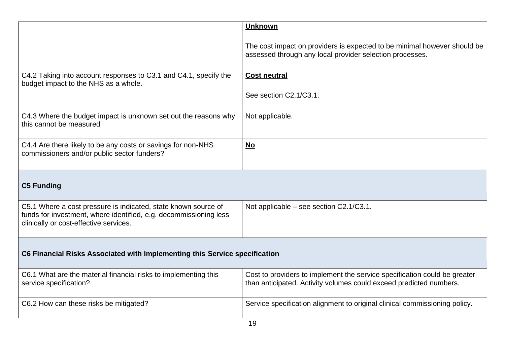<span id="page-18-1"></span><span id="page-18-0"></span>

|                                                                                                                                                                               | <b>Unknown</b>                                                                                                                                  |  |  |
|-------------------------------------------------------------------------------------------------------------------------------------------------------------------------------|-------------------------------------------------------------------------------------------------------------------------------------------------|--|--|
|                                                                                                                                                                               | The cost impact on providers is expected to be minimal however should be<br>assessed through any local provider selection processes.            |  |  |
| C4.2 Taking into account responses to C3.1 and C4.1, specify the<br>budget impact to the NHS as a whole.                                                                      | <b>Cost neutral</b>                                                                                                                             |  |  |
|                                                                                                                                                                               | See section C2.1/C3.1.                                                                                                                          |  |  |
| C4.3 Where the budget impact is unknown set out the reasons why<br>this cannot be measured                                                                                    | Not applicable.                                                                                                                                 |  |  |
| C4.4 Are there likely to be any costs or savings for non-NHS<br>commissioners and/or public sector funders?                                                                   | No                                                                                                                                              |  |  |
| <b>C5 Funding</b>                                                                                                                                                             |                                                                                                                                                 |  |  |
| C5.1 Where a cost pressure is indicated, state known source of<br>funds for investment, where identified, e.g. decommissioning less<br>clinically or cost-effective services. | Not applicable – see section C2.1/C3.1.                                                                                                         |  |  |
| C6 Financial Risks Associated with Implementing this Service specification                                                                                                    |                                                                                                                                                 |  |  |
| C6.1 What are the material financial risks to implementing this<br>service specification?                                                                                     | Cost to providers to implement the service specification could be greater<br>than anticipated. Activity volumes could exceed predicted numbers. |  |  |
| C6.2 How can these risks be mitigated?                                                                                                                                        | Service specification alignment to original clinical commissioning policy.                                                                      |  |  |
|                                                                                                                                                                               |                                                                                                                                                 |  |  |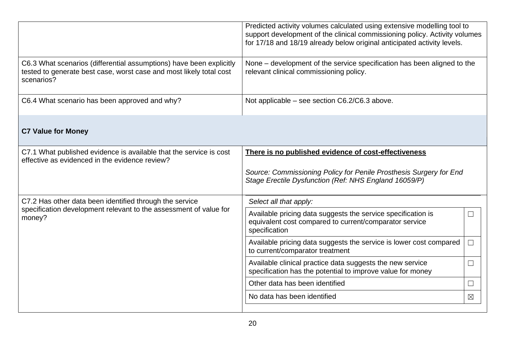<span id="page-19-0"></span>

|                                                                                                                                                                              | Predicted activity volumes calculated using extensive modelling tool to<br>support development of the clinical commissioning policy. Activity volumes<br>for 17/18 and 18/19 already below original anticipated activity levels. |             |  |
|------------------------------------------------------------------------------------------------------------------------------------------------------------------------------|----------------------------------------------------------------------------------------------------------------------------------------------------------------------------------------------------------------------------------|-------------|--|
| C6.3 What scenarios (differential assumptions) have been explicitly<br>tested to generate best case, worst case and most likely total cost<br>scenarios?                     | None – development of the service specification has been aligned to the<br>relevant clinical commissioning policy.                                                                                                               |             |  |
| C6.4 What scenario has been approved and why?                                                                                                                                | Not applicable – see section C6.2/C6.3 above.                                                                                                                                                                                    |             |  |
| <b>C7 Value for Money</b>                                                                                                                                                    |                                                                                                                                                                                                                                  |             |  |
| C7.1 What published evidence is available that the service is cost<br>There is no published evidence of cost-effectiveness<br>effective as evidenced in the evidence review? |                                                                                                                                                                                                                                  |             |  |
|                                                                                                                                                                              | Source: Commissioning Policy for Penile Prosthesis Surgery for End<br>Stage Erectile Dysfunction (Ref: NHS England 16059/P)                                                                                                      |             |  |
| C7.2 Has other data been identified through the service                                                                                                                      | Select all that apply:                                                                                                                                                                                                           |             |  |
| specification development relevant to the assessment of value for<br>money?                                                                                                  | Available pricing data suggests the service specification is<br>equivalent cost compared to current/comparator service<br>specification                                                                                          | $\Box$      |  |
|                                                                                                                                                                              | Available pricing data suggests the service is lower cost compared<br>to current/comparator treatment                                                                                                                            | $\Box$      |  |
|                                                                                                                                                                              | Available clinical practice data suggests the new service<br>specification has the potential to improve value for money                                                                                                          | $\Box$      |  |
|                                                                                                                                                                              | Other data has been identified                                                                                                                                                                                                   | $\Box$      |  |
|                                                                                                                                                                              | No data has been identified                                                                                                                                                                                                      | $\boxtimes$ |  |
|                                                                                                                                                                              |                                                                                                                                                                                                                                  |             |  |